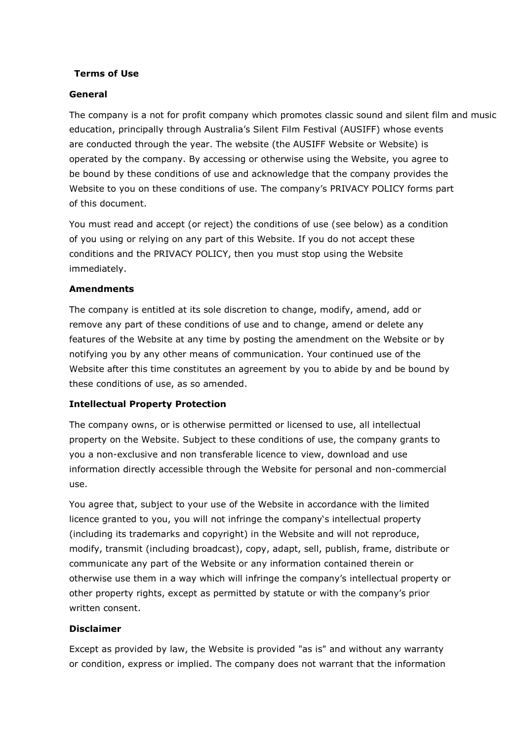#### Terms of Use

#### General

The company is a not for profit company which promotes classic sound and silent film and music education, principally through Australia's Silent Film Festival (AUSIFF) whose events are conducted through the year. The website (the AUSIFF Website or Website) is operated by the company. By accessing or otherwise using the Website, you agree to be bound by these conditions of use and acknowledge that the company provides the Website to you on these conditions of use. The company's PRIVACY POLICY forms part of this document.

You must read and accept (or reject) the conditions of use (see below) as a condition of you using or relying on any part of this Website. If you do not accept these conditions and the PRIVACY POLICY, then you must stop using the Website immediately.

#### Amendments

The company is entitled at its sole discretion to change, modify, amend, add or remove any part of these conditions of use and to change, amend or delete any features of the Website at any time by posting the amendment on the Website or by notifying you by any other means of communication. Your continued use of the Website after this time constitutes an agreement by you to abide by and be bound by these conditions of use, as so amended.

## Intellectual Property Protection

The company owns, or is otherwise permitted or licensed to use, all intellectual property on the Website. Subject to these conditions of use, the company grants to you a non-exclusive and non transferable licence to view, download and use information directly accessible through the Website for personal and non-commercial use.

You agree that, subject to your use of the Website in accordance with the limited licence granted to you, you will not infringe the company's intellectual property (including its trademarks and copyright) in the Website and will not reproduce, modify, transmit (including broadcast), copy, adapt, sell, publish, frame, distribute or communicate any part of the Website or any information contained therein or otherwise use them in a way which will infringe the company's intellectual property or other property rights, except as permitted by statute or with the company's prior written consent.

#### Disclaimer

Except as provided by law, the Website is provided "as is" and without any warranty or condition, express or implied. The company does not warrant that the information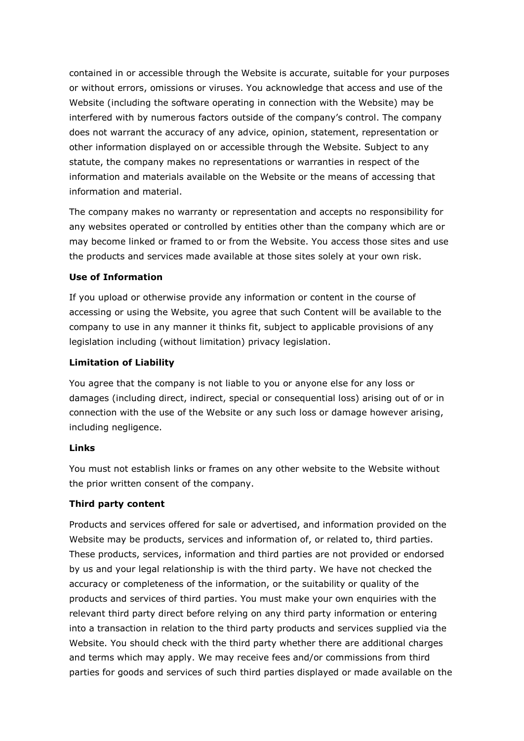contained in or accessible through the Website is accurate, suitable for your purposes or without errors, omissions or viruses. You acknowledge that access and use of the Website (including the software operating in connection with the Website) may be interfered with by numerous factors outside of the company's control. The company does not warrant the accuracy of any advice, opinion, statement, representation or other information displayed on or accessible through the Website. Subject to any statute, the company makes no representations or warranties in respect of the information and materials available on the Website or the means of accessing that information and material.

The company makes no warranty or representation and accepts no responsibility for any websites operated or controlled by entities other than the company which are or may become linked or framed to or from the Website. You access those sites and use the products and services made available at those sites solely at your own risk.

## Use of Information

If you upload or otherwise provide any information or content in the course of accessing or using the Website, you agree that such Content will be available to the company to use in any manner it thinks fit, subject to applicable provisions of any legislation including (without limitation) privacy legislation.

#### Limitation of Liability

You agree that the company is not liable to you or anyone else for any loss or damages (including direct, indirect, special or consequential loss) arising out of or in connection with the use of the Website or any such loss or damage however arising, including negligence.

## Links

You must not establish links or frames on any other website to the Website without the prior written consent of the company.

## Third party content

Products and services offered for sale or advertised, and information provided on the Website may be products, services and information of, or related to, third parties. These products, services, information and third parties are not provided or endorsed by us and your legal relationship is with the third party. We have not checked the accuracy or completeness of the information, or the suitability or quality of the products and services of third parties. You must make your own enquiries with the relevant third party direct before relying on any third party information or entering into a transaction in relation to the third party products and services supplied via the Website. You should check with the third party whether there are additional charges and terms which may apply. We may receive fees and/or commissions from third parties for goods and services of such third parties displayed or made available on the